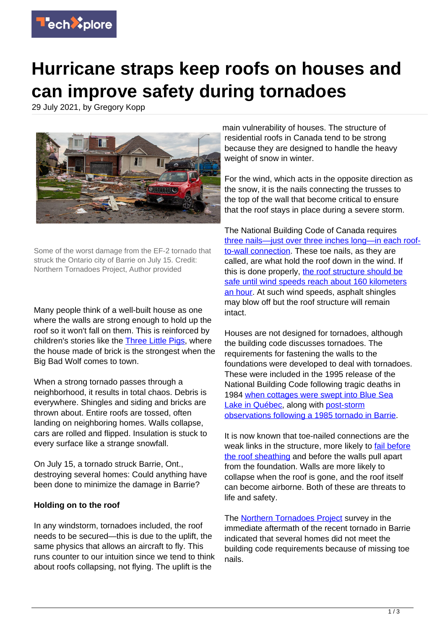

## **Hurricane straps keep roofs on houses and can improve safety during tornadoes**

29 July 2021, by Gregory Kopp



Some of the worst damage from the EF-2 tornado that struck the Ontario city of Barrie on July 15. Credit: Northern Tornadoes Project, Author provided

Many people think of a well-built house as one where the walls are strong enough to hold up the roof so it won't fall on them. This is reinforced by children's stories like the **[Three Little Pigs](https://americanliterature.com/childrens-stories/the-three-little-pigs)**, where the house made of brick is the strongest when the Big Bad Wolf comes to town.

When a strong tornado passes through a neighborhood, it results in total chaos. Debris is everywhere. Shingles and siding and bricks are thrown about. Entire roofs are tossed, often landing on neighboring homes. Walls collapse, cars are rolled and flipped. Insulation is stuck to every surface like a strange snowfall.

On July 15, a tornado struck Barrie, Ont., destroying several homes: Could anything have been done to minimize the damage in Barrie?

## **Holding on to the roof**

In any windstorm, tornadoes included, the roof needs to be secured—this is due to the uplift, the same physics that allows an aircraft to fly. This runs counter to our intuition since we tend to think about roofs collapsing, not flying. The uplift is the

main vulnerability of houses. The structure of residential roofs in Canada tend to be strong because they are designed to handle the heavy weight of snow in winter.

For the wind, which acts in the opposite direction as the snow, it is the nails connecting the trusses to the top of the wall that become critical to ensure that the roof stays in place during a severe storm.

The National Building Code of Canada requires [three nails—just over three inches long—in each roof](http://www.buildingcode.online/1819.html)[to-wall connection.](http://www.buildingcode.online/1819.html) These toe nails, as they are called, are what hold the roof down in the wind. If this is done properly, [the roof structure should be](https://doi.org/10.1061/AJRUA6.0000916) [safe until wind speeds reach about 160 kilometers](https://doi.org/10.1061/AJRUA6.0000916) [an hour.](https://doi.org/10.1061/AJRUA6.0000916) At such wind speeds, asphalt shingles may blow off but the roof structure will remain intact.

Houses are not designed for tornadoes, although the building code discusses tornadoes. The requirements for fastening the walls to the foundations were developed to deal with tornadoes. These were included in the 1995 release of the National Building Code following tragic deaths in 1984 [when cottages were swept into Blue Sea](https://doi.org/10.4224/40000493) [Lake in Québec,](https://doi.org/10.4224/40000493) along with [post-storm](https://doi.org/10.3389/fbuil.2020.00099) [observations following a 1985 tornado in Barrie.](https://doi.org/10.3389/fbuil.2020.00099)

It is now known that toe-nailed connections are the weak links in the structure, more likely to [fail before](http://dx.doi.org/10.1061/(ASCE)ST.1943-541X.0000914) [the roof sheathing](http://dx.doi.org/10.1061/(ASCE)ST.1943-541X.0000914) and before the walls pull apart from the foundation. Walls are more likely to collapse when the roof is gone, and the roof itself can become airborne. Both of these are threats to life and safety.

The **Northern Tornadoes Project** survey in the immediate aftermath of the recent tornado in Barrie indicated that several homes did not meet the building code requirements because of missing toe nails.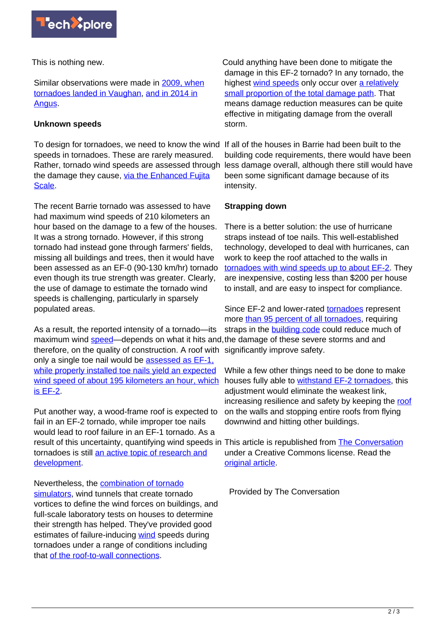

This is nothing new.

Similar observations were made in [2009, when](http://dx.doi.org/10.1139/cjce-2013-0570) [tornadoes landed in Vaughan](http://dx.doi.org/10.1139/cjce-2013-0570), [and in 2014 in](http://dx.doi.org/10.1139/cjce-2016-0232) [Angus.](http://dx.doi.org/10.1139/cjce-2016-0232)

## **Unknown speeds**

To design for tornadoes, we need to know the wind If all of the houses in Barrie had been built to the speeds in tornadoes. These are rarely measured. Rather, tornado wind speeds are assessed through the damage they cause, [via the Enhanced Fujita](https://www.canada.ca/en/environment-climate-change/services/seasonal-weather-hazards/enhanced-fujita-scale-wind-damage.html) [Scale.](https://www.canada.ca/en/environment-climate-change/services/seasonal-weather-hazards/enhanced-fujita-scale-wind-damage.html)

The recent Barrie tornado was assessed to have had maximum wind speeds of 210 kilometers an hour based on the damage to a few of the houses. It was a strong tornado. However, if this strong tornado had instead gone through farmers' fields, missing all buildings and trees, then it would have been assessed as an EF-0 (90-130 km/hr) tornado even though its true strength was greater. Clearly, the use of damage to estimate the tornado wind speeds is challenging, particularly in sparsely populated areas.

As a result, the reported intensity of a tornado—its maximum wind **speed**—depends on what it hits and, the damage of these severe storms and and therefore, on the quality of construction. A roof with significantly improve safety. only a single toe nail would be [assessed as EF-1,](https://www.canada.ca/en/environment-climate-change/services/seasonal-weather-hazards/publications/enhanced-fujita-scale-damage-indicators/chapter-2.html) [while properly installed toe nails yield an expected](https://www.canada.ca/en/environment-climate-change/services/seasonal-weather-hazards/publications/enhanced-fujita-scale-damage-indicators/chapter-2.html) [wind speed of about 195 kilometers an hour, which](https://www.canada.ca/en/environment-climate-change/services/seasonal-weather-hazards/publications/enhanced-fujita-scale-damage-indicators/chapter-2.html) [is EF-2](https://www.canada.ca/en/environment-climate-change/services/seasonal-weather-hazards/publications/enhanced-fujita-scale-damage-indicators/chapter-2.html).

Put another way, a wood-frame roof is expected to fail in an EF-2 tornado, while improper toe nails would lead to roof failure in an EF-1 tornado. As a result of this uncertainty, quantifying wind speeds in This article is republished from **[The Conversation](https://theconversation.com)** tornadoes is still [an active topic of research and](https://ams.confex.com/ams/29SLS/webprogram/Paper348726.html) [development](https://ams.confex.com/ams/29SLS/webprogram/Paper348726.html).

Nevertheless, the [combination of tornado](https://doi.org/10.1016/j.jweia.2020.104269)

[simulators](https://doi.org/10.1016/j.jweia.2020.104269), wind tunnels that create tornado vortices to define the wind forces on buildings, and full-scale laboratory tests on houses to determine their strength has helped. They've provided good estimates of failure-inducing [wind](https://techxplore.com/tags/wind/) speeds during tornadoes under a range of conditions including that [of the roof-to-wall connections](http://dx.doi.org/10.1139/cjce-2016-0232).

Could anything have been done to mitigate the damage in this EF-2 tornado? In any tornado, the highest [wind speeds](https://techxplore.com/tags/wind+speeds/) only occur over [a relatively](https://doi.org/10.1175/WCAS-D-14-00032.1) [small proportion of the total damage path](https://doi.org/10.1175/WCAS-D-14-00032.1). That means damage reduction measures can be quite effective in mitigating damage from the overall storm.

building code requirements, there would have been less damage overall, although there still would have been some significant damage because of its intensity.

## **Strapping down**

There is a better solution: the use of hurricane straps instead of toe nails. This well-established technology, developed to deal with hurricanes, can work to keep the roof attached to the walls in [tornadoes with wind speeds up to about EF-2](https://doi.org/10.3389/fbuil.2020.00099). They are inexpensive, costing less than \$200 per house to install, and are easy to inspect for compliance.

Since EF-2 and lower-rated [tornadoes](https://techxplore.com/tags/tornadoes/) represent more [than 95 percent of all tornadoes](https://doi.org/10.1175/BAMS-D-20-0012.1), requiring straps in the [building code](https://techxplore.com/tags/building+code/) could reduce much of

While a few other things need to be done to make houses fully able to [withstand EF-2 tornadoes](https://www.iclr.org/wp-content/uploads/2019/04/ICLR-Western-SCC-Increasing-High-Wind-Safety-2019_EN.pdf), this adjustment would eliminate the weakest link, increasing resilience and safety by keeping the [roof](https://techxplore.com/tags/roof/) on the walls and stopping entire roofs from flying downwind and hitting other buildings.

under a Creative Commons license. Read the [original article](https://theconversation.com/hurricane-straps-keep-roofs-on-houses-and-can-improve-safety-during-tornadoes-164998).

Provided by The Conversation